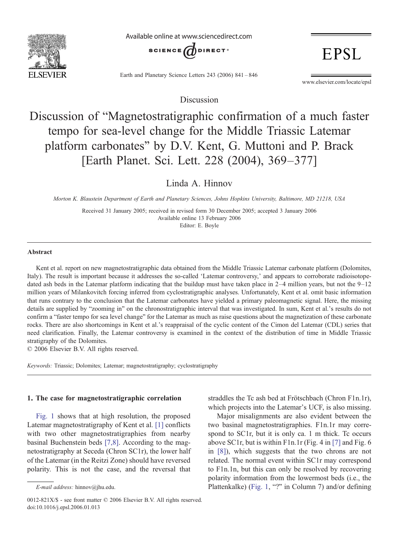

Available online at www.sciencedirect.com



Earth and Planetary Science Letters 243 (2006) 841–846

www.elsevier.com/locate/epsl

**EPSL** 

Discussion

# Discussion of "Magnetostratigraphic confirmation of a much faster tempo for sea-level change for the Middle Triassic Latemar platform carbonates" by D.V. Kent, G. Muttoni and P. Brack [Earth Planet. Sci. Lett. 228 (2004), 369–377]

# Linda A. Hinnov

Morton K. Blaustein Department of Earth and Planetary Sciences, Johns Hopkins University, Baltimore, MD 21218, USA

Received 31 January 2005; received in revised form 30 December 2005; accepted 3 January 2006 Available online 13 February 2006 Editor: E. Boyle

#### Abstract

Kent et al. report on new magnetostratigraphic data obtained from the Middle Triassic Latemar carbonate platform (Dolomites, Italy). The result is important because it addresses the so-called 'Latemar controversy,' and appears to corroborate radioisotopedated ash beds in the Latemar platform indicating that the buildup must have taken place in 2–4 million years, but not the 9–12 million years of Milankovitch forcing inferred from cyclostratigraphic analyses. Unfortunately, Kent et al. omit basic information that runs contrary to the conclusion that the Latemar carbonates have yielded a primary paleomagnetic signal. Here, the missing details are supplied by "zooming in" on the chronostratigraphic interval that was investigated. In sum, Kent et al.'s results do not confirm a "faster tempo for sea level change" for the Latemar as much as raise questions about the magnetization of these carbonate rocks. There are also shortcomings in Kent et al.'s reappraisal of the cyclic content of the Cimon del Latemar (CDL) series that need clarification. Finally, the Latemar controversy is examined in the context of the distribution of time in Middle Triassic stratigraphy of the Dolomites.

© 2006 Elsevier B.V. All rights reserved.

Keywords: Triassic; Dolomites; Latemar; magnetostratigraphy; cyclostratigraphy

#### 1. The case for magnetostratigraphic correlation

[Fig. 1](#page-1-0) shows that at high resolution, the proposed Latemar magnetostratigraphy of Kent et al. [\[1\]](#page-4-0) conflicts with two other magnetostratigraphies from nearby basinal Buchenstein beds [\[7,8\].](#page-4-0) According to the magnetostratigraphy at Seceda (Chron SC1r), the lower half of the Latemar (in the Reitzi Zone) should have reversed polarity. This is not the case, and the reversal that straddles the Tc ash bed at Frötschbach (Chron F1n.1r), which projects into the Latemar's UCF, is also missing.

Major misalignments are also evident between the two basinal magnetostratigraphies. F1n.1r may correspond to SC1r, but it is only ca. 1 m thick. Te occurs above SC1r, but is within F1n.1r (Fig. 4 in [\[7\]](#page-4-0) and Fig. 6 in [\[8\]](#page-4-0)), which suggests that the two chrons are not related. The normal event within SC1r may correspond to F1n.1n, but this can only be resolved by recovering polarity information from the lowermost beds (i.e., the Plattenkalke) [\(Fig. 1,](#page-1-0) "?" in Column 7) and/or defining

E-mail address: hinnov@jhu.edu.

<sup>0012-821</sup>X/\$ - see front matter © 2006 Elsevier B.V. All rights reserved. doi:10.1016/j.epsl.2006.01.013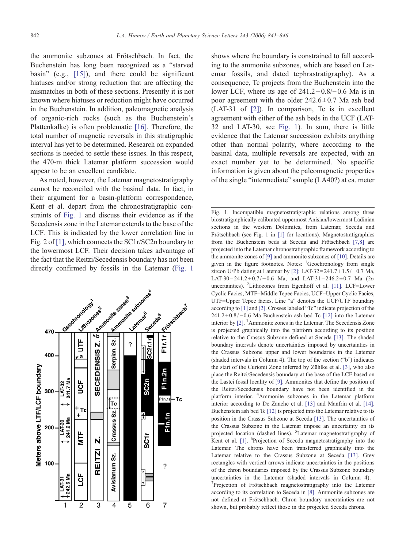<span id="page-1-0"></span>the ammonite subzones at Frötschbach. In fact, the Buchenstein has long been recognized as a "starved basin" (e.g., [\[15\]](#page-4-0)), and there could be significant hiatuses and/or strong reduction that are affecting the mismatches in both of these sections. Presently it is not known where hiatuses or reduction might have occurred in the Buchenstein. In addition, paleomagnetic analysis of organic-rich rocks (such as the Buchenstein's Plattenkalke) is often problematic [\[16\].](#page-4-0) Therefore, the total number of magnetic reversals in this stratigraphic interval has yet to be determined. Research on expanded sections is needed to settle these issues. In this respect, the 470-m thick Latemar platform succession would appear to be an excellent candidate.

As noted, however, the Latemar magnetostratigraphy cannot be reconciled with the basinal data. In fact, in their argument for a basin-platform correspondence, Kent et al. depart from the chronostratigraphic constraints of Fig. 1 and discuss their evidence as if the Secedensis zone in the Latemar extends to the base of the LCF. This is indicated by the lower correlation line in Fig. 2 of [\[1\]](#page-4-0), which connects the SC1r/SC2n boundary to the lowermost LCF. Their decision takes advantage of the fact that the Reitzi/Secedensis boundary has not been directly confirmed by fossils in the Latemar (Fig. 1



shows where the boundary is constrained to fall according to the ammonite subzones, which are based on Latemar fossils, and dated tephrastratigraphy). As a consequence, Tc projects from the Buchenstein into the lower LCF, where its age of  $241.2 + 0.8/–0.6$  Ma is in poor agreement with the older  $242.6 \pm 0.7$  Ma ash bed (LAT-31 of [\[2\]](#page-4-0)). In comparison, Tc is in excellent agreement with either of the ash beds in the UCF (LAT-32 and LAT-30, see Fig. 1). In sum, there is little evidence that the Latemar succession exhibits anything other than normal polarity, where according to the basinal data, multiple reversals are expected, with an exact number yet to be determined. No specific information is given about the paleomagnetic properties of the single "intermediate" sample (LA40?) at ca. meter

Fig. 1. Incompatible magnetostratigraphic relations among three biostratigraphically calibrated uppermost Anisian/lowermost Ladinian sections in the western Dolomites, from Latemar, Seceda and Frötschbach (see Fig. 1 in [\[1\]](#page-4-0) for locations). Magnetostratigraphies from the Buchenstein beds at Seceda and Frötschbach [\[7,8\]](#page-4-0) are projected into the Latemar chronostratigraphic framework according to the ammonite zones of [\[9\]](#page-4-0) and ammonite subzones of [\[10\].](#page-4-0) Details are given in the figure footnotes. Notes: <sup>1</sup>Geochronology from single zircon U/Pb dating at Latemar by [\[2\]:](#page-4-0) LAT-32=241.7+1.5/-0.7 Ma, LAT-30=241.2+0.7/-0.6 Ma, and LAT-31=246.2±0.7 Ma (2 $\sigma$ uncertainties). <sup>2</sup>Lithozones from Egenhoff et al. [\[11\]](#page-4-0). LCF=Lower Cyclic Facies, MTF=Middle Tepee Facies, UCF=Upper Cyclic Facies, UTF=Upper Tepee facies. Line "a" denotes the UCF/UTF boundary according to [\[1\]](#page-4-0) and [\[2\].](#page-4-0) Crosses labeled "Tc" indicate projection of the 241.2+ 0.8/−0.6 Ma Buchenstein ash bed Tc [\[12\]](#page-4-0) into the Latemar interior by [\[2\].](#page-4-0) <sup>3</sup> Ammonite zones in the Latemar. The Secedensis Zone is projected graphically into the platform according to its position relative to the Crassus Subzone defined at Seceda [\[13\]](#page-4-0). The shaded boundary intervals denote uncertainties imposed by uncertainties in the Crassus Subzone upper and lower boundaries in the Latemar (shaded intervals in Column 4). The top of the section ("b") indicates the start of the Curionii Zone inferred by Zühlke et al. [\[3\],](#page-4-0) who also place the Reitzi/Secedensis boundary at the base of the LCF based on the Lastei fossil locality of [\[9\]](#page-4-0). Ammonites that define the position of the Reitzi/Secedensis boundary have not been identified in the platform interior. <sup>4</sup> Ammonite subzones in the Latemar platform interior according to De Zanche et al. [\[13\]](#page-4-0) and Manfrin et al. [\[14\]](#page-4-0). Buchenstein ash bed Tc [\[12\]](#page-4-0) is projected into the Latemar relative to its position in the Crassus Subzone at Seceda [\[13\].](#page-4-0) The uncertainties of the Crassus Subzone in the Latemar impose an uncertainty on its projected location (dashed lines). <sup>5</sup>Latemar magnetostratigraphy of Kent et al. [\[1\]](#page-4-0). <sup>6</sup>Projection of Seceda magnetostratigraphy into the Latemar. The chrons have been transferred graphically into the Latemar relative to the Crassus Subzone at Seceda [\[13\].](#page-4-0) Grey rectangles with vertical arrows indicate uncertainties in the positions of the chron boundaries imposed by the Crassus Subzone boundary uncertainties in the Latemar (shaded intervals in Column 4). <sup>7</sup>Projection of Frötschbach magnetostratigraphy into the Latemar according to its correlation to Seceda in [\[8\].](#page-4-0) Ammonite subzones are not defined at Frötschbach. Chron boundary uncertainties are not shown, but probably reflect those in the projected Seceda chrons.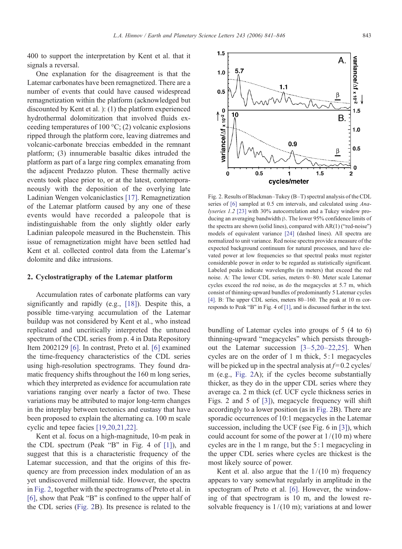<span id="page-2-0"></span>400 to support the interpretation by Kent et al. that it signals a reversal.

One explanation for the disagreement is that the Latemar carbonates have been remagnetized. There are a number of events that could have caused widespread remagnetization within the platform (acknowledged but discounted by Kent et al. ): (1) the platform experienced hydrothermal dolomitization that involved fluids exceeding temperatures of 100  $\textdegree$ C; (2) volcanic explosions ripped through the platform core, leaving diatremes and volcanic-carbonate breccias embedded in the remnant platform; (3) innumerable basaltic dikes intruded the platform as part of a large ring complex emanating from the adjacent Predazzo pluton. These thermally active events took place prior to, or at the latest, contemporaneously with the deposition of the overlying late Ladinian Wengen volcaniclastics [\[17\]](#page-4-0). Remagnetization of the Latemar platform caused by any one of these events would have recorded a paleopole that is indistinguishable from the only slightly older early Ladinian paleopole measured in the Buchenstein. This issue of remagnetization might have been settled had Kent et al. collected control data from the Latemar's dolomite and dike intrusions.

#### 2. Cyclostratigraphy of the Latemar platform

Accumulation rates of carbonate platforms can vary significantly and rapidly (e.g., [\[18\]\)](#page-4-0). Despite this, a possible time-varying accumulation of the Latemar buildup was not considered by Kent et al., who instead replicated and uncritically interpreted the untuned spectrum of the CDL series from p. 4 in Data Repository Item 2002129 [\[6\].](#page-4-0) In contrast, Preto et al. [\[6\]](#page-4-0) examined the time-frequency characteristics of the CDL series using high-resolution spectrograms. They found dramatic frequency shifts throughout the 160 m long series, which they interpreted as evidence for accumulation rate variations ranging over nearly a factor of two. These variations may be attributed to major long-term changes in the interplay between tectonics and eustasy that have been proposed to explain the alternating ca. 100 m scale cyclic and tepee facies [\[19,20,21,22\]](#page-4-0).

Kent et al. focus on a high-magnitude, 10-m peak in the CDL spectrum (Peak "B" in Fig. 4 of [\[1\]](#page-4-0)), and suggest that this is a characteristic frequency of the Latemar succession, and that the origins of this frequency are from precession index modulation of an as yet undiscovered millennial tide. However, the spectra in Fig. 2, together with the spectrograms of Preto et al. in [\[6\]](#page-4-0), show that Peak "B" is confined to the upper half of the CDL series (Fig. 2B). Its presence is related to the

Fig. 2. Results of Blackman–Tukey (B–T) spectral analysis of the CDL series of [\[6\]](#page-4-0) sampled at 0.5 cm intervals, and calculated using Analyseries 1.2 [\[23\]](#page-5-0) with 30% autocorrelation and a Tukey window producing an averaging bandwidth β. The lower 95% confidence limits of the spectra are shown (solid lines), compared with AR(1) ("red-noise") models of equivalent variance [\[24\]](#page-5-0) (dashed lines). All spectra are normalized to unit variance. Red noise spectra provide a measure of the expected background continuum for natural processes, and have elevated power at low frequencies so that spectral peaks must register considerable power in order to be regarded as statistically significant. Labeled peaks indicate wavelengths (in meters) that exceed the red noise. A: The lower CDL series, meters 0–80. Meter scale Latemar cycles exceed the red noise, as do the megacycles at 5.7 m, which consist of thinning-upward bundles of predominantly 5 Latemar cycles [\[4\]](#page-4-0). B: The upper CDL series, meters 80–160. The peak at 10 m corresponds to Peak "B" in Fig. 4 of [\[1\],](#page-4-0) and is discussed further in the text.

bundling of Latemar cycles into groups of 5 (4 to 6) thinning-upward "megacycles" which persists throughout the Latemar succession [3–5,20–[22,25\].](#page-4-0) When cycles are on the order of 1 m thick, 5: 1 megacycles will be picked up in the spectral analysis at  $f= 0.2$  cycles/ m (e.g., Fig. 2A); if the cycles become substantially thicker, as they do in the upper CDL series where they average ca. 2 m thick (cf. UCF cycle thickness series in Figs. 2 and 5 of [\[3\]](#page-4-0)), megacycle frequency will shift accordingly to a lower position (as in Fig. 2B). There are sporadic occurrences of 10:1 megacycles in the Latemar succession, including the UCF (see Fig. 6 in [\[3\]\)](#page-4-0), which could account for some of the power at  $1/(10 \text{ m})$  where cycles are in the 1 m range, but the 5: 1 megacycling in the upper CDL series where cycles are thickest is the most likely source of power.

Kent et al. also argue that the  $1/(10 \text{ m})$  frequency appears to vary somewhat regularly in amplitude in the spectogram of Preto et al. [\[6\]](#page-4-0). However, the windowing of that spectrogram is 10 m, and the lowest resolvable frequency is  $1/(10 \text{ m})$ ; variations at and lower

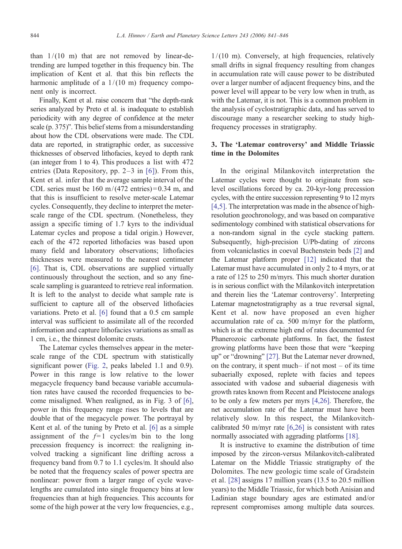than  $1/(10 \text{ m})$  that are not removed by linear-detrending are lumped together in this frequency bin. The implication of Kent et al. that this bin reflects the harmonic amplitude of a  $1/(10 \text{ m})$  frequency component only is incorrect.

Finally, Kent et al. raise concern that "the depth-rank series analyzed by Preto et al. is inadequate to establish periodicity with any degree of confidence at the meter scale (p. 375)". This belief stems from a misunderstanding about how the CDL observations were made. The CDL data are reported, in stratigraphic order, as successive thicknesses of observed lithofacies, keyed to depth rank (an integer from 1 to 4). This produces a list with 472 entries (Data Repository, pp. 2–3 in [\[6\]\)](#page-4-0). From this, Kent et al. infer that the average sample interval of the CDL series must be  $160 \text{ m}/(472 \text{ entries}) = 0.34 \text{ m}$ , and that this is insufficient to resolve meter-scale Latemar cycles. Consequently, they decline to interpret the meterscale range of the CDL spectrum. (Nonetheless, they assign a specific timing of 1.7 kyrs to the individual Latemar cycles and propose a tidal origin.) However, each of the 472 reported lithofacies was based upon many field and laboratory observations; lithofacies thicknesses were measured to the nearest centimeter [\[6\].](#page-4-0) That is, CDL observations are supplied virtually continuously throughout the section, and so any finescale sampling is guaranteed to retrieve real information. It is left to the analyst to decide what sample rate is sufficient to capture all of the observed lithofacies variations. Preto et al. [\[6\]](#page-4-0) found that a 0.5 cm sample interval was sufficient to assimilate all of the recorded information and capture lithofacies variations as small as 1 cm, i.e., the thinnest dolomite crusts.

The Latemar cycles themselves appear in the meterscale range of the CDL spectrum with statistically significant power ([Fig. 2,](#page-2-0) peaks labeled 1.1 and 0.9). Power in this range is low relative to the lower megacycle frequency band because variable accumulation rates have caused the recorded frequencies to become misaligned. When realigned, as in Fig. 3 of [\[6\],](#page-4-0) power in this frequency range rises to levels that are double that of the megacycle power. The portrayal by Kent et al. of the tuning by Preto et al. [\[6\]](#page-4-0) as a simple assignment of the  $f=1$  cycles/m bin to the long precession frequency is incorrect: the realigning involved tracking a significant line drifting across a frequency band from 0.7 to 1.1 cycles/m. It should also be noted that the frequency scales of power spectra are nonlinear: power from a larger range of cycle wavelengths are cumulated into single frequency bins at low frequencies than at high frequencies. This accounts for some of the high power at the very low frequencies, e.g.,

 $1/(10 \text{ m})$ . Conversely, at high frequencies, relatively small drifts in signal frequency resulting from changes in accumulation rate will cause power to be distributed over a larger number of adjacent frequency bins, and the power level will appear to be very low when in truth, as with the Latemar, it is not. This is a common problem in the analysis of cyclostratigraphic data, and has served to discourage many a researcher seeking to study highfrequency processes in stratigraphy.

## 3. The 'Latemar controversy' and Middle Triassic time in the Dolomites

In the original Milankovitch interpretation the Latemar cycles were thought to originate from sealevel oscillations forced by ca. 20-kyr-long precession cycles, with the entire succession representing 9 to 12 myrs [\[4,5\]](#page-4-0). The interpretation was made in the absence of highresolution geochronology, and was based on comparative sedimentology combined with statistical observations for a non-random signal in the cycle stacking pattern. Subsequently, high-precision U/Pb-dating of zircons from volcaniclastics in coeval Buchenstein beds [\[2\]](#page-4-0) and the Latemar platform proper [\[12\]](#page-4-0) indicated that the Latemar must have accumulated in only 2 to 4 myrs, or at a rate of 125 to 250 m/myrs. This much shorter duration is in serious conflict with the Milankovitch interpretation and therein lies the 'Latemar controversy'. Interpreting Latemar magnetostratigraphy as a true reversal signal, Kent et al. now have proposed an even higher accumulation rate of ca. 500 m/myr for the platform, which is at the extreme high end of rates documented for Phanerozoic carbonate platforms. In fact, the fastest growing platforms have been those that were "keeping up" or "drowning" [\[27\].](#page-5-0) But the Latemar never drowned, on the contrary, it spent much– if not most – of its time subaerially exposed, replete with facies and tepees associated with vadose and subaerial diagenesis with growth rates known from Recent and Pleistocene analogs to be only a few meters per myrs [\[4,26\]](#page-4-0). Therefore, the net accumulation rate of the Latemar must have been relatively slow. In this respect, the Milankovitchcalibrated 50 m/myr rate [\[6,26\]](#page-4-0) is consistent with rates normally associated with aggrading platforms [\[18\].](#page-4-0)

It is instructive to examine the distribution of time imposed by the zircon-versus Milankovitch-calibrated Latemar on the Middle Triassic stratigraphy of the Dolomites. The new geologic time scale of Gradstein et al. [\[28\]](#page-5-0) assigns 17 million years (13.5 to 20.5 million years) to the Middle Triassic, for which both Anisian and Ladinian stage boundary ages are estimated and/or represent compromises among multiple data sources.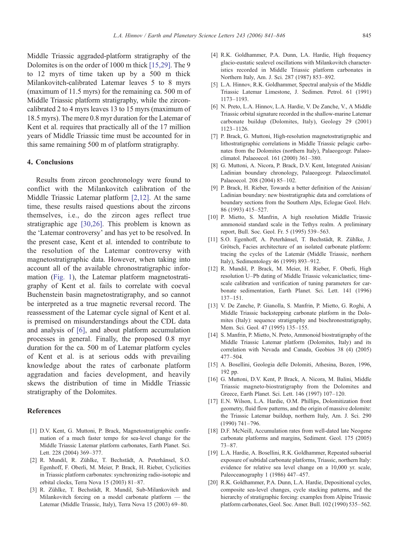<span id="page-4-0"></span>Middle Triassic aggraded-platform stratigraphy of the Dolomites is on the order of 1000 m thick [15,29]. The 9 to 12 myrs of time taken up by a 500 m thick Milankovitch-calibrated Latemar leaves 5 to 8 myrs (maximum of 11.5 myrs) for the remaining ca. 500 m of Middle Triassic platform stratigraphy, while the zirconcalibrated 2 to 4 myrs leaves 13 to 15 myrs (maximum of 18.5 myrs). The mere 0.8 myr duration for the Latemar of Kent et al. requires that practically all of the 17 million years of Middle Triassic time must be accounted for in this same remaining 500 m of platform stratigraphy.

### 4. Conclusions

Results from zircon geochronology were found to conflict with the Milankovitch calibration of the Middle Triassic Latemar platform [2,12]. At the same time, these results raised questions about the zircons themselves, i.e., do the zircon ages reflect true stratigraphic age [\[30,26\].](#page-5-0) This problem is known as the 'Latemar controversy' and has yet to be resolved. In the present case, Kent et al. intended to contribute to the resolution of the Latemar controversy with magnetostratigraphic data. However, when taking into account all of the available chronostratigraphic information [\(Fig. 1\)](#page-1-0), the Latemar platform magnetostratigraphy of Kent et al. fails to correlate with coeval Buchenstein basin magnetostratigraphy, and so cannot be interpreted as a true magnetic reversal record. The reassessment of the Latemar cycle signal of Kent et al. is premised on misunderstandings about the CDL data and analysis of [6], and about platform accumulation processes in general. Finally, the proposed 0.8 myr duration for the ca. 500 m of Latemar platform cycles of Kent et al. is at serious odds with prevailing knowledge about the rates of carbonate platform aggradation and facies development, and heavily skews the distribution of time in Middle Triassic stratigraphy of the Dolomites.

### References

- [1] D.V. Kent, G. Muttoni, P. Brack, Magnetostratigraphic confirmation of a much faster tempo for sea-level change for the Middle Triassic Latemar platform carbonates, Earth Planet. Sci. Lett. 228 (2004) 369–377.
- [2] R. Mundil, R. Zühlke, T. Bechstädt, A. Peterhänsel, S.O. Egenhoff, F. Oberli, M. Meier, P. Brack, H. Rieber, Cyclicities in Triassic platform carbonates: synchronizing radio-isotopic and orbital clocks, Terra Nova 15 (2003) 81–87.
- [3] R. Zühlke, T. Bechstädt, R. Mundil, Sub-Milankovitch and Milankovitch forcing on a model carbonate platform — the Latemar (Middle Triassic, Italy), Terra Nova 15 (2003) 69–80.
- [4] R.K. Goldhammer, P.A. Dunn, LA. Hardie, High frequency glacio-eustatic sealevel oscillations with Milankovitch characteristics recorded in Middle Triassic platform carbonates in Northern Italy, Am. J. Sci. 287 (1987) 853–892.
- [5] L.A. Hinnov, R.K. Goldhammer, Spectral analysis of the Middle Triassic Latemar Limestone, J. Sedimen. Petrol. 61 (1991) 1173–1193.
- [6] N. Preto, L.A. Hinnov, L.A. Hardie, V. De Zanche, V., A Middle Triassic orbital signature recorded in the shallow-marine Latemar carbonate buildup (Dolomites, Italy), Geology 29 (2001) 1123–1126.
- [7] P. Brack, G. Muttoni, High-resolution magnetostratigraphic and lithostratigraphic correlations in Middle Triassic pelagic carbonates from the Dolomites (northern Italy), Palaeogeogr. Palaeoclimatol. Palaeoecol. 161 (2000) 361–380.
- [8] G. Muttoni, A. Nicora, P. Brack, D.V. Kent, Integrated Anisian/ Ladinian boundary chronology, Palaeogeogr. Palaeoclimatol. Palaeoecol. 208 (2004) 85–102.
- [9] P. Brack, H. Rieber, Towards a better definition of the Anisian/ Ladinian boundary: new biostratigraphic data and correlations of boundary sections from the Southern Alps, Eclogae Geol. Helv. 86 (1993) 415–527.
- [10] P. Mietto, S. Manfrin, A high resolution Middle Triassic ammonoid standard scale in the Tethys realm. A preliminary report, Bull. Soc. Geol. Fr. 5 (1995) 539–563.
- [11] S.O. Egenhoff, A. Peterhänsel, T. Bechstädt, R. Zühlke, J. Grötsch, Facies architecture of an isolated carbonate platform: tracing the cycles of the Latemàr (Middle Triassic, northern Italy), Sedimentology 46 (1999) 893–912.
- [12] R. Mundil, P. Brack, M. Meier, H. Rieber, F. Oberli, High resolution U–Pb dating of Middle Triassic volcaniclastics; timescale calibration and verification of tuning parameters for carbonate sedimentation, Earth Planet. Sci. Lett. 141 (1996) 137–151.
- [13] V. De Zanche, P. Gianolla, S. Manfrin, P. Mietto, G. Roghi, A Middle Triassic backstepping carbonate platform in the Dolomites (Italy): sequence stratigraphy and biochronostratigraphy, Mem. Sci. Geol. 47 (1995) 135–155.
- [14] S. Manfrin, P. Mietto, N. Preto, Ammonoid biostratigraphy of the Middle Triassic Latemar platform (Dolomites, Italy) and its correlation with Nevada and Canada, Geobios 38 (4) (2005) 477–504.
- [15] A. Bosellini, Geologia delle Dolomiti, Athesina, Bozen, 1996, 192 pp.
- [16] G. Muttoni, D.V. Kent, P. Brack, A. Nicora, M. Balini, Middle Triassic magneto-biostratigraphy from the Dolomites and Greece, Earth Planet. Sci. Lett. 146 (1997) 107–120.
- [17] E.N. Wilson, L.A. Hardie, O.M. Phillips, Dolomitization front geometry, fluid flow patterns, and the origin of massive dolomite: the Triassic Latemar buildup, northern Italy, Am. J. Sci. 290 (1990) 741–796.
- [18] D.F. McNeill, Accumulation rates from well-dated late Neogene carbonate platforms and margins, Sediment. Geol. 175 (2005) 73–87.
- [19] L.A. Hardie, A. Bosellini, R.K. Goldhammer, Repeated subaerial exposure of subtidal carbonate platforms, Triassic, northern Italy: evidence for relative sea level change on a 10,000 yr. scale, Paleoceanography 1 (1986) 447–457.
- [20] R.K. Goldhammer, P.A. Dunn, L.A. Hardie, Depositional cycles, composite sea-level changes, cycle stacking patterns, and the hierarchy of stratigraphic forcing: examples from Alpine Triassic platform carbonates, Geol. Soc. Amer. Bull. 102 (1990) 535–562.